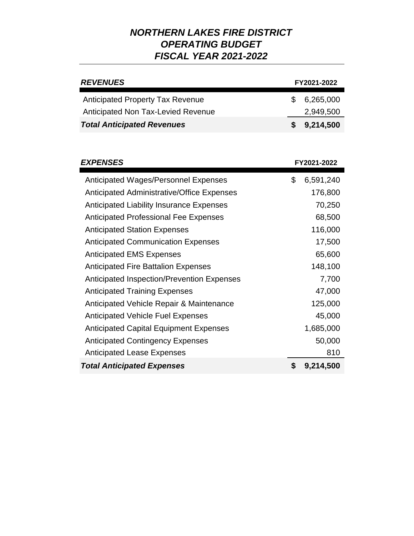| <b>REVENUES</b>                         | FY2021-2022 |             |
|-----------------------------------------|-------------|-------------|
| <b>Anticipated Property Tax Revenue</b> |             | 6,265,000   |
| Anticipated Non Tax-Levied Revenue      |             | 2,949,500   |
| <b>Total Anticipated Revenues</b>       |             | \$9,214,500 |

| <b>EXPENSES</b>                                   |    | FY2021-2022 |
|---------------------------------------------------|----|-------------|
| <b>Anticipated Wages/Personnel Expenses</b>       | \$ | 6,591,240   |
| <b>Anticipated Administrative/Office Expenses</b> |    | 176,800     |
| <b>Anticipated Liability Insurance Expenses</b>   |    | 70,250      |
| <b>Anticipated Professional Fee Expenses</b>      |    | 68,500      |
| <b>Anticipated Station Expenses</b>               |    | 116,000     |
| <b>Anticipated Communication Expenses</b>         |    | 17,500      |
| <b>Anticipated EMS Expenses</b>                   |    | 65,600      |
| <b>Anticipated Fire Battalion Expenses</b>        |    | 148,100     |
| <b>Anticipated Inspection/Prevention Expenses</b> |    | 7,700       |
| <b>Anticipated Training Expenses</b>              |    | 47,000      |
| Anticipated Vehicle Repair & Maintenance          |    | 125,000     |
| <b>Anticipated Vehicle Fuel Expenses</b>          |    | 45,000      |
| <b>Anticipated Capital Equipment Expenses</b>     |    | 1,685,000   |
| <b>Anticipated Contingency Expenses</b>           |    | 50,000      |
| <b>Anticipated Lease Expenses</b>                 |    | 810         |
| <b>Total Anticipated Expenses</b>                 |    | 9,214,500   |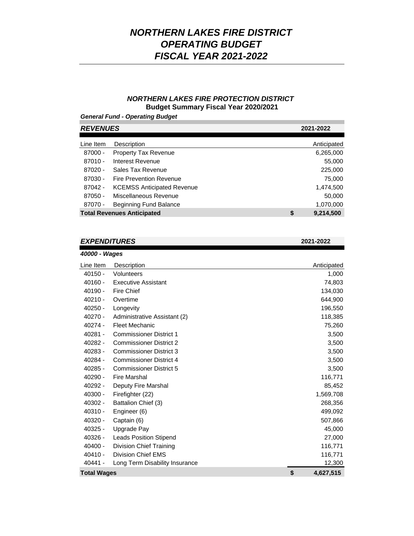### *NORTHERN LAKES FIRE PROTECTION DISTRICT*  **Budget Summary Fiscal Year 2020/2021**

### *General Fund - Operating Budget*

| <b>REVENUES</b>                   |                 | 2021-2022 |  |
|-----------------------------------|-----------------|-----------|--|
|                                   |                 |           |  |
| Description                       | Anticipated     |           |  |
| <b>Property Tax Revenue</b>       | 6,265,000       |           |  |
| Interest Revenue                  | 55,000          |           |  |
| Sales Tax Revenue                 | 225,000         |           |  |
| Fire Prevention Revenue           | 75,000          |           |  |
| <b>KCEMSS Anticipated Revenue</b> | 1,474,500       |           |  |
| Miscellaneous Revenue             | 50,000          |           |  |
| Beginning Fund Balance            | 1,070,000       |           |  |
| <b>Total Revenues Anticipated</b> | \$<br>9,214,500 |           |  |
|                                   |                 |           |  |

### *EXPENDITURES* **2021-2022**

*40000 - Wages*

| Line Item          | Description                    | Anticipated     |
|--------------------|--------------------------------|-----------------|
| $40150 -$          | Volunteers                     | 1,000           |
| $40160 -$          | <b>Executive Assistant</b>     | 74,803          |
| $40190 -$          | Fire Chief                     | 134,030         |
| $40210 -$          | Overtime                       | 644,900         |
| $40250 -$          | Longevity                      | 196,550         |
| $40270 -$          | Administrative Assistant (2)   | 118,385         |
| 40274 -            | <b>Fleet Mechanic</b>          | 75,260          |
| $40281 -$          | <b>Commissioner District 1</b> | 3,500           |
| 40282 -            | <b>Commissioner District 2</b> | 3,500           |
| 40283 -            | <b>Commissioner District 3</b> | 3,500           |
| 40284 -            | <b>Commissioner District 4</b> | 3,500           |
| $40285 -$          | <b>Commissioner District 5</b> | 3,500           |
| $40290 -$          | <b>Fire Marshal</b>            | 116,771         |
| $40292 -$          | Deputy Fire Marshal            | 85,452          |
| $40300 -$          | Firefighter (22)               | 1,569,708       |
| 40302 -            | Battalion Chief (3)            | 268,356         |
| $40310 -$          | Engineer (6)                   | 499,092         |
| 40320 -            | Captain (6)                    | 507,866         |
| $40325 -$          | Upgrade Pay                    | 45,000          |
| 40326 -            | <b>Leads Position Stipend</b>  | 27,000          |
| $40400 -$          | Division Chief Training        | 116,771         |
| $40410 -$          | <b>Division Chief EMS</b>      | 116,771         |
| 40441 -            | Long Term Disability Insurance | 12,300          |
| <b>Total Wages</b> |                                | \$<br>4,627,515 |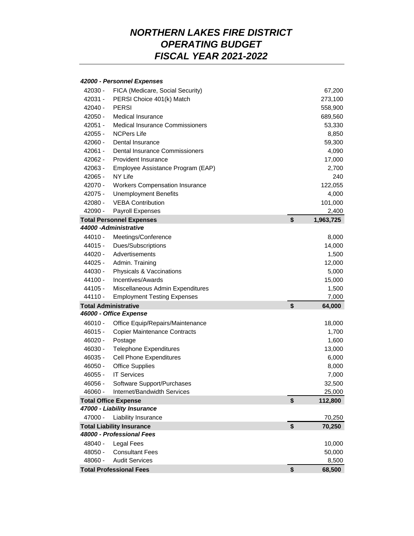#### *42000 - Personnel Expenses*

| 42030 -   | FICA (Medicare, Social Security)       | 67,200          |
|-----------|----------------------------------------|-----------------|
| 42031 -   | PERSI Choice 401(k) Match              | 273,100         |
| $42040 -$ | <b>PERSI</b>                           | 558,900         |
| $42050 -$ | Medical Insurance                      | 689,560         |
| $42051 -$ | <b>Medical Insurance Commissioners</b> | 53,330          |
| $42055 -$ | <b>NCPers Life</b>                     | 8,850           |
| 42060 -   | Dental Insurance                       | 59,300          |
| $42061 -$ | Dental Insurance Commissioners         | 4,090           |
| 42062 -   | Provident Insurance                    | 17,000          |
| 42063 -   | Employee Assistance Program (EAP)      | 2,700           |
| $42065 -$ | NY Life                                | 240             |
| 42070 -   | <b>Workers Compensation Insurance</b>  | 122,055         |
| 42075 -   | <b>Unemployment Benefits</b>           | 4,000           |
| $42080 -$ | <b>VEBA Contribution</b>               | 101,000         |
| 42090 -   | Payroll Expenses                       | 2,400           |
|           | <b>Total Personnel Expenses</b>        | \$<br>1,963,725 |
|           | 44000-Administrative                   |                 |
| 44010 -   | Meetings/Conference                    | 8,000           |
| 44015 -   | Dues/Subscriptions                     | 14,000          |
| 44020 -   | Advertisements                         | 1,500           |
| 44025 -   | Admin. Training                        | 12,000          |
| 44030 -   | Physicals & Vaccinations               | 5,000           |
| 44100 -   | Incentives/Awards                      | 15,000          |
| 44105 -   | Miscellaneous Admin Expenditures       | 1,500           |
| 44110 -   | <b>Employment Testing Expenses</b>     | 7,000           |
|           | <b>Total Administrative</b>            | \$<br>64,000    |
|           | 46000 - Office Expense                 |                 |
| 46010 -   | Office Equip/Repairs/Maintenance       | 18,000          |
| $46015 -$ | <b>Copier Maintenance Contracts</b>    | 1,700           |
| $46020 -$ | Postage                                | 1,600           |
| 46030 -   | <b>Telephone Expenditures</b>          | 13,000          |
| $46035 -$ | <b>Cell Phone Expenditures</b>         | 6,000           |
| 46050 -   | <b>Office Supplies</b>                 | 8,000           |
| 46055 -   | <b>IT Services</b>                     | 7,000           |
| 46056 -   | Software Support/Purchases             | 32,500          |
| 46060 -   | Internet/Bandwidth Services            | 25,000          |
|           | <b>Total Office Expense</b>            | \$<br>112,800   |
|           | 47000 - Liability Insurance            |                 |
| 47000 -   | Liability Insurance                    | 70,250          |
|           | <b>Total Liability Insurance</b>       | \$<br>70,250    |
|           | 48000 - Professional Fees              |                 |
| 48040 -   | Legal Fees                             | 10,000          |
| 48050 -   | <b>Consultant Fees</b>                 | 50,000          |
| 48060 -   | <b>Audit Services</b>                  | 8,500           |
|           | <b>Total Professional Fees</b>         | \$<br>68,500    |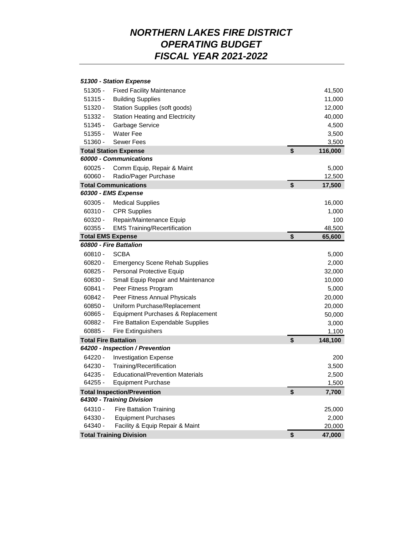#### 41,500 11,000 12,000 40,000 4,500 3,500 3,500 **Total Station Expense \$ 116,000** 60025 - Comm Equip, Repair & Maint 6,000 and 5,000 5,000 and 5,000 5,000 for the state of the state of the state of the state of the state of the state of the state of the state of the state of the state of the state of th 12,500 **Total Communications \$ 17,500** 60305 - Medical Supplies 16,000 60310 - CPR Supplies 1,000 60320 - Repair/Maintenance Equip 100 48,500 **Total EMS Expense \$ 65,600** 60810 - SCBA 5,000 60820 - Emergency Scene Rehab Supplies 2,000 60825 - Personal Protective Equip 32,000 60830 - Small Equip Repair and Maintenance 10,000 60841 - Peer Fitness Program 5,000 60842 - Peer Fitness Annual Physicals 20,000 60850 - Uniform Purchase/Replacement 20,000 60865 - Equipment Purchases & Replacement 50,000 60882 - Fire Battalion Expendable Supplies 3,000 60885 - Fire Extinguishers 1,100 **Total Fire Battalion \$ 148,100** 64220 - Investigation Expense 200 64230 - Training/Recertification 3,500 64235 - Educational/Prevention Materials 2,500 64255 - Equipment Purchase 1,500 **Total Inspection/Prevention \$ 7,700** 64310 - Fire Battalion Training 25,000 64330 - Equipment Purchases 2,000 64340 - Facility & Equip Repair & Maint 20,000 **Total Training Division \$ 47,000** *60000 - Communications 60300 - EMS Expense 60800 - Fire Battalion 51300 - Station Expense 64200 - Inspection / Prevention 64300 - Training Division* 60355 - EMS Training/Recertification 51320 - Station Supplies (soft goods) 51332 - Station Heating and Electricity 51345 - Garbage Service 51355 - Water Fee 60060 - Radio/Pager Purchase 51360 - Sewer Fees 51305 - Fixed Facility Maintenance 51315 - Building Supplies